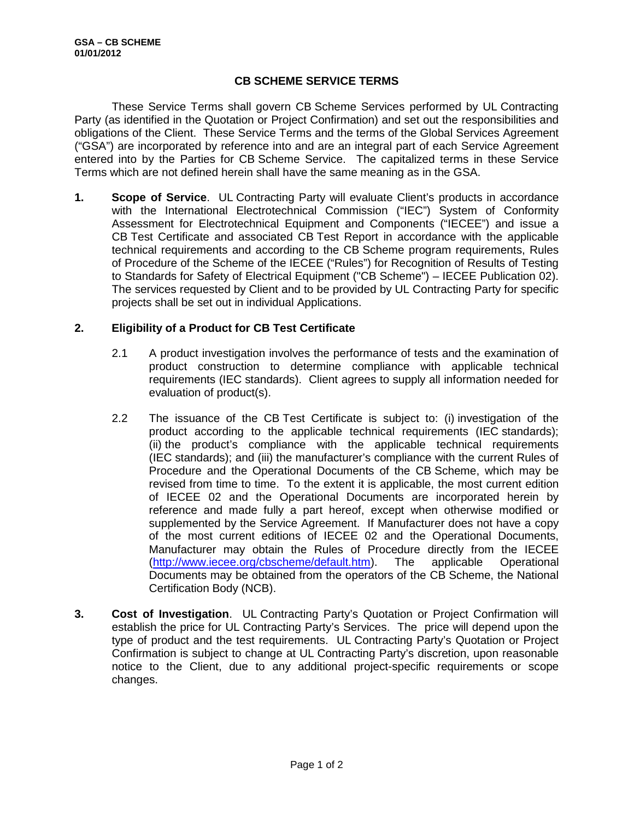## **CB SCHEME SERVICE TERMS**

These Service Terms shall govern CB Scheme Services performed by UL Contracting Party (as identified in the Quotation or Project Confirmation) and set out the responsibilities and obligations of the Client. These Service Terms and the terms of the Global Services Agreement ("GSA") are incorporated by reference into and are an integral part of each Service Agreement entered into by the Parties for CB Scheme Service. The capitalized terms in these Service Terms which are not defined herein shall have the same meaning as in the GSA.

**1. Scope of Service**. UL Contracting Party will evaluate Client's products in accordance with the International Electrotechnical Commission ("IEC") System of Conformity Assessment for Electrotechnical Equipment and Components ("IECEE") and issue a CB Test Certificate and associated CB Test Report in accordance with the applicable technical requirements and according to the CB Scheme program requirements, Rules of Procedure of the Scheme of the IECEE ("Rules") for Recognition of Results of Testing to Standards for Safety of Electrical Equipment ("CB Scheme") – IECEE Publication 02). The services requested by Client and to be provided by UL Contracting Party for specific projects shall be set out in individual Applications.

## **2. Eligibility of a Product for CB Test Certificate**

- 2.1 A product investigation involves the performance of tests and the examination of product construction to determine compliance with applicable technical requirements (IEC standards). Client agrees to supply all information needed for evaluation of product(s).
- 2.2 The issuance of the CB Test Certificate is subject to: (i) investigation of the product according to the applicable technical requirements (IEC standards); (ii) the product's compliance with the applicable technical requirements (IEC standards); and (iii) the manufacturer's compliance with the current Rules of Procedure and the Operational Documents of the CB Scheme, which may be revised from time to time. To the extent it is applicable, the most current edition of IECEE 02 and the Operational Documents are incorporated herein by reference and made fully a part hereof, except when otherwise modified or supplemented by the Service Agreement. If Manufacturer does not have a copy of the most current editions of IECEE 02 and the Operational Documents, Manufacturer may obtain the Rules of Procedure directly from the IECEE (<http://www.iecee.org/cbscheme/default.htm>). The applicable Operational Documents may be obtained from the operators of the CB Scheme, the National Certification Body (NCB).
- **3. Cost of Investigation**. UL Contracting Party's Quotation or Project Confirmation will establish the price for UL Contracting Party's Services. The price will depend upon the type of product and the test requirements. UL Contracting Party's Quotation or Project Confirmation is subject to change at UL Contracting Party's discretion, upon reasonable notice to the Client, due to any additional project-specific requirements or scope changes.